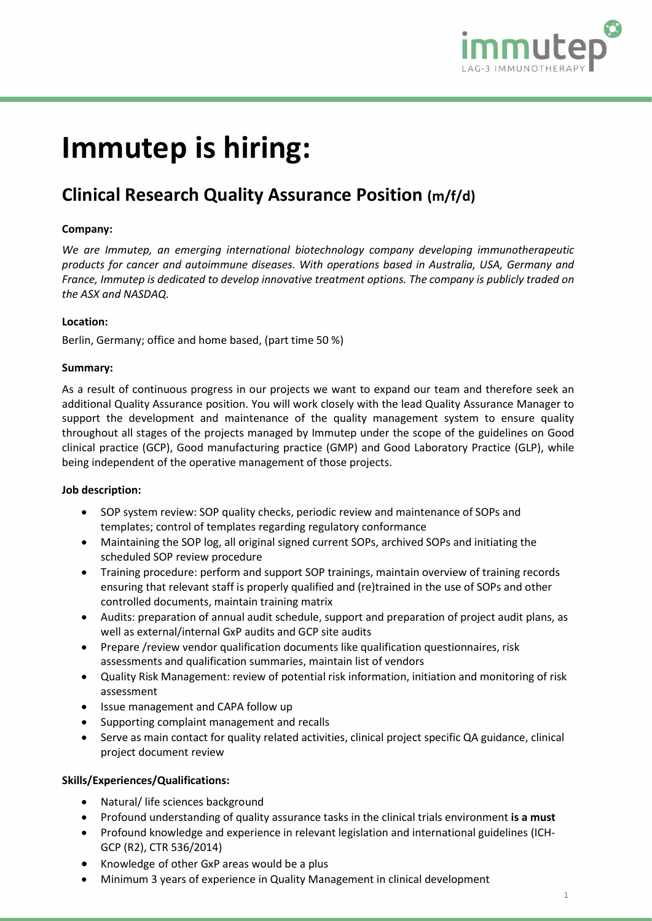

# Immutep is hiring:

# Clinical Research Quality Assurance Position (m/f/d)

# Company:

We are Immutep, an emerging international biotechnology company developing immunotherapeutic products for cancer and autoimmune diseases. With operations based in Australia, USA, Germany and France, Immutep is dedicated to develop innovative treatment options. The company is publicly traded on the ASX and NASDAQ.

### Location:

Berlin, Germany; office and home based, (part time 50 %)

# Summary:

As a result of continuous progress in our projects we want to expand our team and therefore seek an additional Quality Assurance position. You will work closely with the lead Quality Assurance Manager to support the development and maintenance of the quality management system to ensure quality throughout all stages of the projects managed by Immutep under the scope of the guidelines on Good clinical practice (GCP), Good manufacturing practice (GMP) and Good Laboratory Practice (GLP), while being independent of the operative management of those projects.

### Job description:

- SOP system review: SOP quality checks, periodic review and maintenance of SOPs and templates; control of templates regarding regulatory conformance
- Maintaining the SOP log, all original signed current SOPs, archived SOPs and initiating the scheduled SOP review procedure
- Training procedure: perform and support SOP trainings, maintain overview of training records ensuring that relevant staff is properly qualified and (re)trained in the use of SOPs and other controlled documents, maintain training matrix
- Audits: preparation of annual audit schedule, support and preparation of project audit plans, as well as external/internal GxP audits and GCP site audits
- Prepare /review vendor qualification documents like qualification questionnaires, risk assessments and qualification summaries, maintain list of vendors
- Quality Risk Management: review of potential risk information, initiation and monitoring of risk assessment
- Issue management and CAPA follow up
- Supporting complaint management and recalls
- Serve as main contact for quality related activities, clinical project specific QA guidance, clinical project document review

# Skills/Experiences/Qualifications:

- Natural/ life sciences background
- **•** Profound understanding of quality assurance tasks in the clinical trials environment is a must
- Profound knowledge and experience in relevant legislation and international guidelines (ICH-GCP (R2), CTR 536/2014)
- Knowledge of other GxP areas would be a plus
- Minimum 3 years of experience in Quality Management in clinical development